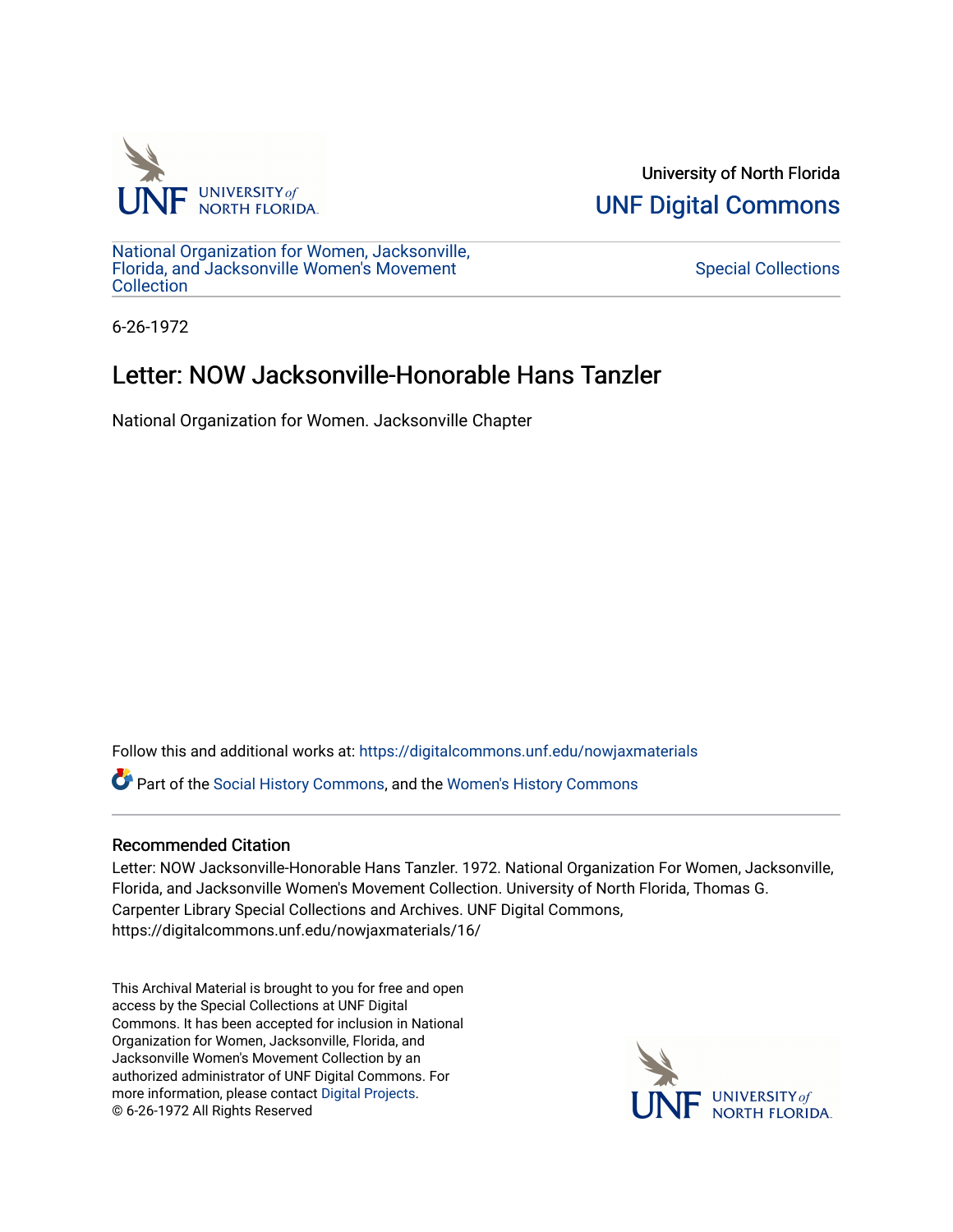

University of North Florida [UNF Digital Commons](https://digitalcommons.unf.edu/) 

[National Organization for Women, Jacksonville,](https://digitalcommons.unf.edu/nowjaxmaterials) [Florida, and Jacksonville Women's Movement](https://digitalcommons.unf.edu/nowjaxmaterials) **Collection** 

[Special Collections](https://digitalcommons.unf.edu/special_collections) 

6-26-1972

## Letter: NOW Jacksonville-Honorable Hans Tanzler

National Organization for Women. Jacksonville Chapter

Follow this and additional works at: [https://digitalcommons.unf.edu/nowjaxmaterials](https://digitalcommons.unf.edu/nowjaxmaterials?utm_source=digitalcommons.unf.edu%2Fnowjaxmaterials%2F16&utm_medium=PDF&utm_campaign=PDFCoverPages) 

Part of the [Social History Commons](http://network.bepress.com/hgg/discipline/506?utm_source=digitalcommons.unf.edu%2Fnowjaxmaterials%2F16&utm_medium=PDF&utm_campaign=PDFCoverPages), and the [Women's History Commons](http://network.bepress.com/hgg/discipline/507?utm_source=digitalcommons.unf.edu%2Fnowjaxmaterials%2F16&utm_medium=PDF&utm_campaign=PDFCoverPages)

## Recommended Citation

Letter: NOW Jacksonville-Honorable Hans Tanzler. 1972. National Organization For Women, Jacksonville, Florida, and Jacksonville Women's Movement Collection. University of North Florida, Thomas G. Carpenter Library Special Collections and Archives. UNF Digital Commons, https://digitalcommons.unf.edu/nowjaxmaterials/16/

This Archival Material is brought to you for free and open access by the Special Collections at UNF Digital Commons. It has been accepted for inclusion in National Organization for Women, Jacksonville, Florida, and Jacksonville Women's Movement Collection by an authorized administrator of UNF Digital Commons. For more information, please contact [Digital Projects](mailto:lib-digital@unf.edu). © 6-26-1972 All Rights Reserved

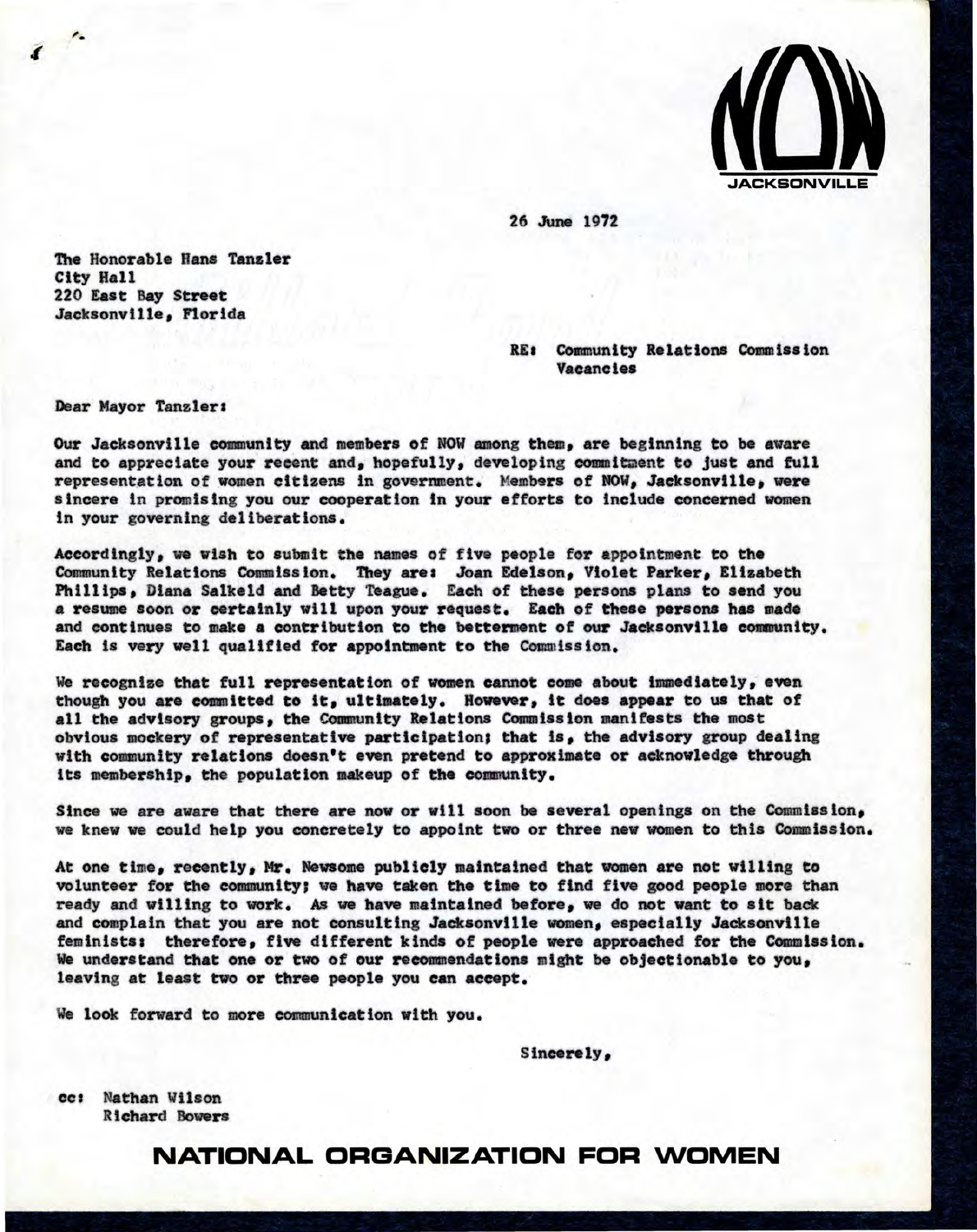

26 June 1972

The Honorable Hans **Tanzler**  City Hall 220 East Bay Street Jacksonville, Florida

> RE: Community Relations Commission Vacancies

Dear Mayor Tanzler:

Our Jacksonville community and members *of* NOW among them, are beginning to be aware and to appreciate your recent and, hopefully, developing commitment to just and full representation of women citizens in government. Members of NOW, Jacksonville, were sincere ln promising you our cooperation in your efforts to include concerned women In your governing deliberations.

Accordingly, we wish to submit the names of five people for appointment to the Community Relations Commission. They are: Joan Edelson, Violet **Parker,** Elizabeth Phillips, Diana Salkeld and Betty Teague. Each of these persons plans to send you a resume soon or certainly will upon your request. Each of thesepersons has **made**  and continues to make a contribution to the betterment of our Jacksonville community. Each is very well qualified for appointment to the Commission.

We recognize that full representation of women cannot come about immediately, even though you are committed to it, ultimately.However,it does **appear** to us that of all the advisory groups, the Community Relations Commission manifests the most obvious mockery of representative participation; that is, the advisory group dealing with community relations doesn't even pretend to approximate or acknowledge through its membership, the population makeup of the community.

Since we are aware that there are now or will soon be several openings on the Commission, we knew we could help you concretely to appoint two or three new women to this Commission.

At one time, recently, Mr. Newsome publicly maintained that women are not willing to volunteer for the community; we have taken the time to find five good people more than ready and willing to work. As we have maintained before, we do not want to sit back and complain that you are not consulting Jacksonville women, especially Jacksonville feminists: therefore, five different kinda of people were approached for the Commission. We understand that one or two of our recommendations might be objectionable to you, leaving at least two or three people you can accept.

We look forward to more communication with you.

Sincerely,

cc: Nathan Wilson R ichard Bowers

## **NATIONAL ORGANIZATION FOR WOMEN**